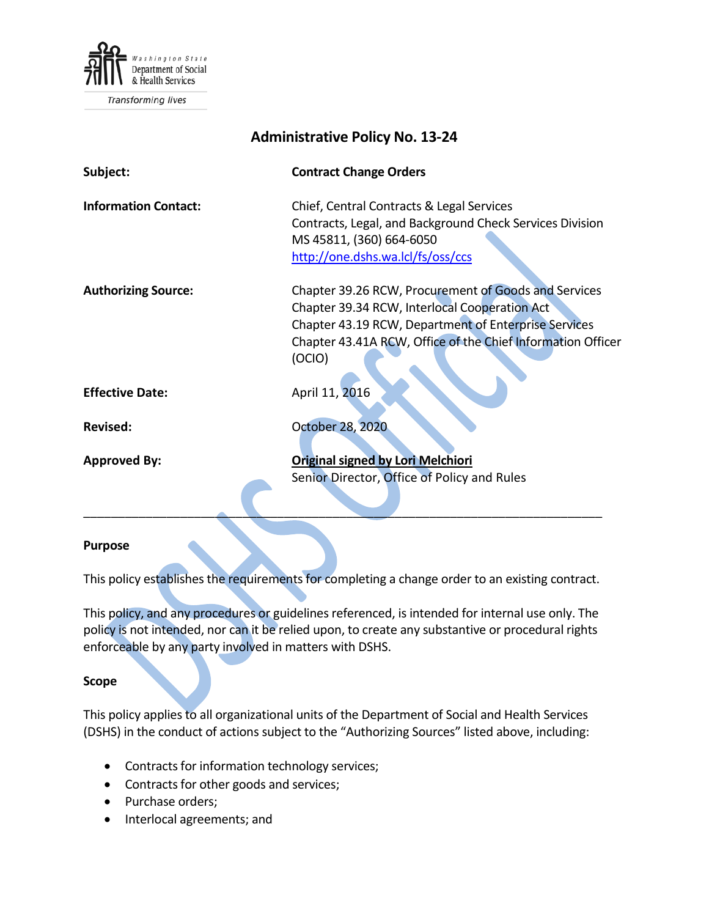

Transforming lives

| <b>Administrative Policy No. 13-24</b> |                                                                                                                                                                                                                                        |
|----------------------------------------|----------------------------------------------------------------------------------------------------------------------------------------------------------------------------------------------------------------------------------------|
| Subject:                               | <b>Contract Change Orders</b>                                                                                                                                                                                                          |
| <b>Information Contact:</b>            | Chief, Central Contracts & Legal Services<br>Contracts, Legal, and Background Check Services Division<br>MS 45811, (360) 664-6050<br>http://one.dshs.wa.lcl/fs/oss/ccs                                                                 |
| <b>Authorizing Source:</b>             | Chapter 39.26 RCW, Procurement of Goods and Services<br>Chapter 39.34 RCW, Interlocal Cooperation Act<br>Chapter 43.19 RCW, Department of Enterprise Services<br>Chapter 43.41A RCW, Office of the Chief Information Officer<br>(OCIO) |
| <b>Effective Date:</b>                 | April 11, 2016                                                                                                                                                                                                                         |
| <b>Revised:</b>                        | <b>October 28, 2020</b>                                                                                                                                                                                                                |
| <b>Approved By:</b>                    | <b>Original signed by Lori Melchiori</b><br>Senior Director, Office of Policy and Rules                                                                                                                                                |

#### **Purpose**

This policy establishes the requirements for completing a change order to an existing contract.

This policy, and any procedures or guidelines referenced, is intended for internal use only. The policy is not intended, nor can it be relied upon, to create any substantive or procedural rights enforceable by any party involved in matters with DSHS.

#### **Scope**

This policy applies to all organizational units of the Department of Social and Health Services (DSHS) in the conduct of actions subject to the "Authorizing Sources" listed above, including:

- Contracts for information technology services;
- Contracts for other goods and services;
- Purchase orders;
- Interlocal agreements; and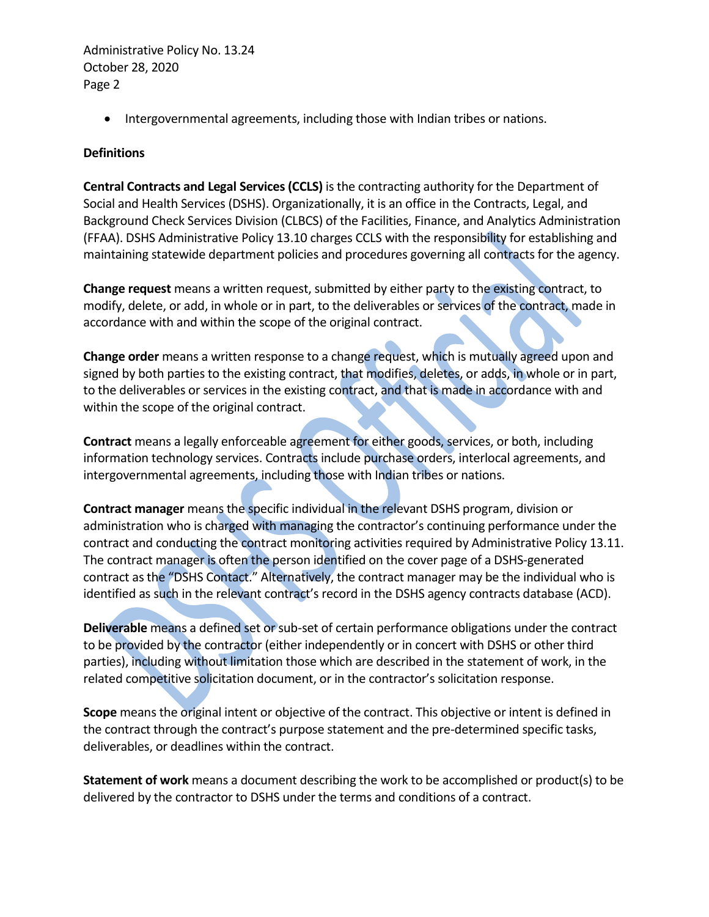• Intergovernmental agreements, including those with Indian tribes or nations.

### **Definitions**

**Central Contracts and Legal Services (CCLS)** is the contracting authority for the Department of Social and Health Services (DSHS). Organizationally, it is an office in the Contracts, Legal, and Background Check Services Division (CLBCS) of the Facilities, Finance, and Analytics Administration (FFAA). DSHS Administrative Policy 13.10 charges CCLS with the responsibility for establishing and maintaining statewide department policies and procedures governing all contracts for the agency.

**Change request** means a written request, submitted by either party to the existing contract, to modify, delete, or add, in whole or in part, to the deliverables or services of the contract, made in accordance with and within the scope of the original contract.

**Change order** means a written response to a change request, which is mutually agreed upon and signed by both parties to the existing contract, that modifies, deletes, or adds, in whole or in part, to the deliverables or services in the existing contract, and that is made in accordance with and within the scope of the original contract.

**Contract** means a legally enforceable agreement for either goods, services, or both, including information technology services. Contracts include purchase orders, interlocal agreements, and intergovernmental agreements, including those with Indian tribes or nations.

**Contract manager** means the specific individual in the relevant DSHS program, division or administration who is charged with managing the contractor's continuing performance under the contract and conducting the contract monitoring activities required by Administrative Policy 13.11. The contract manager is often the person identified on the cover page of a DSHS-generated contract as the "DSHS Contact." Alternatively, the contract manager may be the individual who is identified as such in the relevant contract's record in the DSHS agency contracts database (ACD).

**Deliverable** means a defined set or sub-set of certain performance obligations under the contract to be provided by the contractor (either independently or in concert with DSHS or other third parties), including without limitation those which are described in the statement of work, in the related competitive solicitation document, or in the contractor's solicitation response.

**Scope** means the original intent or objective of the contract. This objective or intent is defined in the contract through the contract's purpose statement and the pre-determined specific tasks, deliverables, or deadlines within the contract.

**Statement of work** means a document describing the work to be accomplished or product(s) to be delivered by the contractor to DSHS under the terms and conditions of a contract.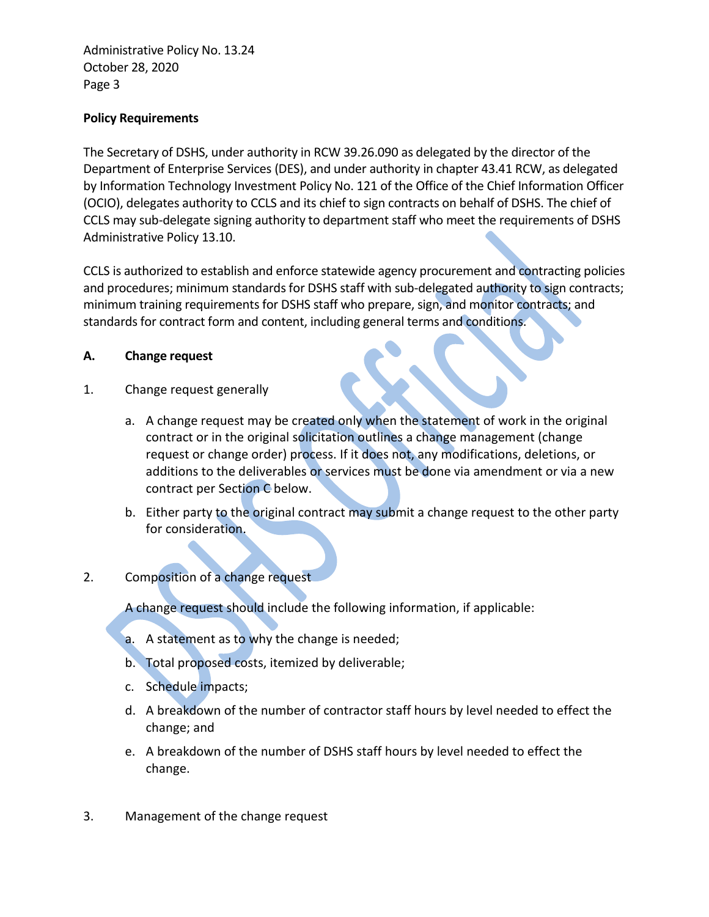## **Policy Requirements**

The Secretary of DSHS, under authority in RCW 39.26.090 as delegated by the director of the Department of Enterprise Services (DES), and under authority in chapter 43.41 RCW, as delegated by Information Technology Investment Policy No. 121 of the Office of the Chief Information Officer (OCIO), delegates authority to CCLS and its chief to sign contracts on behalf of DSHS. The chief of CCLS may sub-delegate signing authority to department staff who meet the requirements of DSHS Administrative Policy 13.10.

CCLS is authorized to establish and enforce statewide agency procurement and contracting policies and procedures; minimum standards for DSHS staff with sub-delegated authority to sign contracts; minimum training requirements for DSHS staff who prepare, sign, and monitor contracts; and standards for contract form and content, including general terms and conditions.

#### **A. Change request**

- 1. Change request generally
	- a. A change request may be created only when the statement of work in the original contract or in the original solicitation outlines a change management (change request or change order) process. If it does not, any modifications, deletions, or additions to the deliverables or services must be done via amendment or via a new contract per Section C below.
	- b. Either party to the original contract may submit a change request to the other party for consideration.

# 2. Composition of a change request

A change request should include the following information, if applicable:

- a. A statement as to why the change is needed;
- b. Total proposed costs, itemized by deliverable;
- c. Schedule impacts;
- d. A breakdown of the number of contractor staff hours by level needed to effect the change; and
- e. A breakdown of the number of DSHS staff hours by level needed to effect the change.
- 3. Management of the change request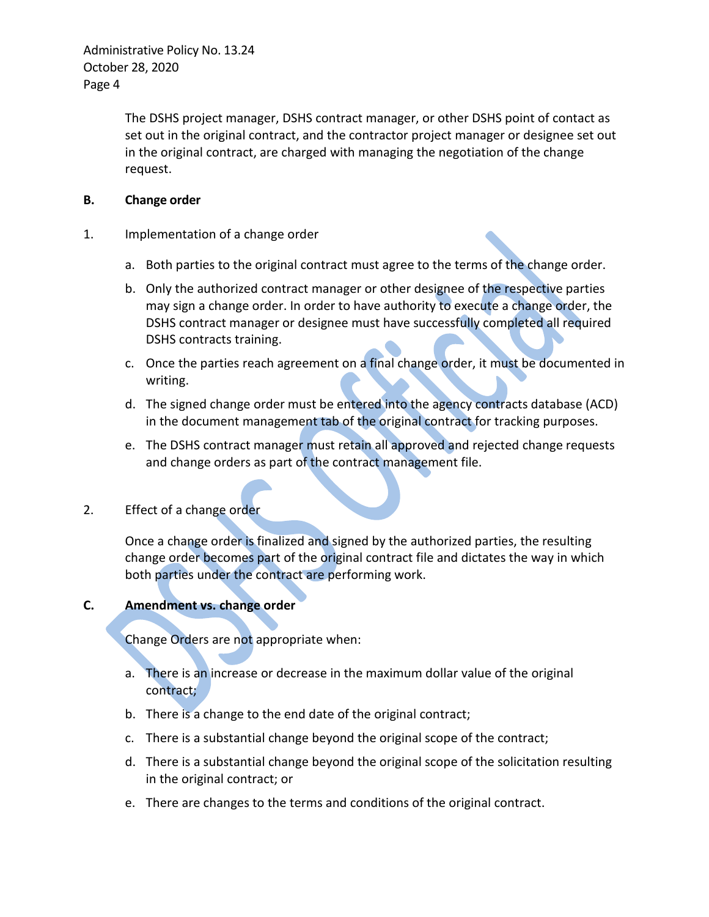> The DSHS project manager, DSHS contract manager, or other DSHS point of contact as set out in the original contract, and the contractor project manager or designee set out in the original contract, are charged with managing the negotiation of the change request.

### **B. Change order**

- 1. Implementation of a change order
	- a. Both parties to the original contract must agree to the terms of the change order.
	- b. Only the authorized contract manager or other designee of the respective parties may sign a change order. In order to have authority to execute a change order, the DSHS contract manager or designee must have successfully completed all required DSHS contracts training.
	- c. Once the parties reach agreement on a final change order, it must be documented in writing.
	- d. The signed change order must be entered into the agency contracts database (ACD) in the document management tab of the original contract for tracking purposes.
	- e. The DSHS contract manager must retain all approved and rejected change requests and change orders as part of the contract management file.
- 2. Effect of a change order

Once a change order is finalized and signed by the authorized parties, the resulting change order becomes part of the original contract file and dictates the way in which both parties under the contract are performing work.

# **C. Amendment vs. change order**

Change Orders are not appropriate when:

- a. There is an increase or decrease in the maximum dollar value of the original contract;
- b. There is a change to the end date of the original contract;
- c. There is a substantial change beyond the original scope of the contract;
- d. There is a substantial change beyond the original scope of the solicitation resulting in the original contract; or
- e. There are changes to the terms and conditions of the original contract.